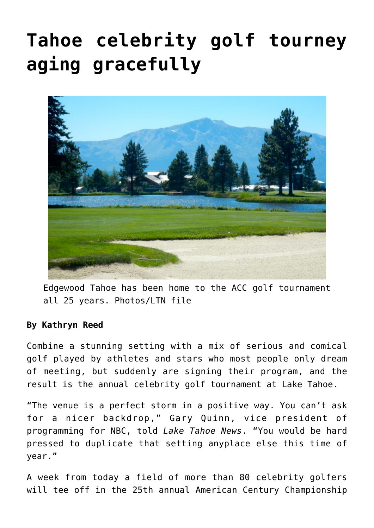## **[Tahoe celebrity golf tourney](https://www.laketahoenews.net/2014/07/tahoe-celebrity-golf-tourney-aging-gracefully/) [aging gracefully](https://www.laketahoenews.net/2014/07/tahoe-celebrity-golf-tourney-aging-gracefully/)**



Edgewood Tahoe has been home to the ACC golf tournament all 25 years. Photos/LTN file

## **By Kathryn Reed**

Combine a stunning setting with a mix of serious and comical golf played by athletes and stars who most people only dream of meeting, but suddenly are signing their program, and the result is the annual celebrity golf tournament at Lake Tahoe.

"The venue is a perfect storm in a positive way. You can't ask for a nicer backdrop," Gary Quinn, vice president of programming for NBC, told *Lake Tahoe News*. "You would be hard pressed to duplicate that setting anyplace else this time of year."

A week from today a field of more than 80 celebrity golfers will tee off in the 25th annual American Century Championship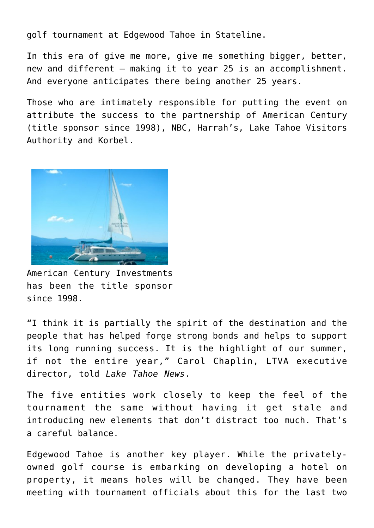golf tournament at Edgewood Tahoe in Stateline.

In this era of give me more, give me something bigger, better, new and different – making it to year 25 is an accomplishment. And everyone anticipates there being another 25 years.

Those who are intimately responsible for putting the event on attribute the success to the partnership of American Century (title sponsor since 1998), NBC, Harrah's, Lake Tahoe Visitors Authority and Korbel.



American Century Investments has been the title sponsor since 1998.

"I think it is partially the spirit of the destination and the people that has helped forge strong bonds and helps to support its long running success. It is the highlight of our summer, if not the entire year," Carol Chaplin, LTVA executive director, told *Lake Tahoe News*.

The five entities work closely to keep the feel of the tournament the same without having it get stale and introducing new elements that don't distract too much. That's a careful balance.

Edgewood Tahoe is another key player. While the privatelyowned golf course is embarking on developing a hotel on property, it means holes will be changed. They have been meeting with tournament officials about this for the last two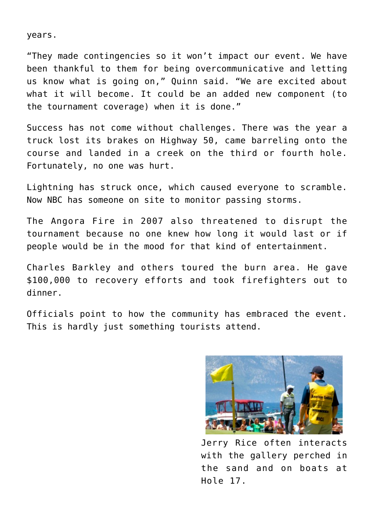years.

"They made contingencies so it won't impact our event. We have been thankful to them for being overcommunicative and letting us know what is going on," Quinn said. "We are excited about what it will become. It could be an added new component (to the tournament coverage) when it is done."

Success has not come without challenges. There was the year a truck lost its brakes on Highway 50, came barreling onto the course and landed in a creek on the third or fourth hole. Fortunately, no one was hurt.

Lightning has struck once, which caused everyone to scramble. Now NBC has someone on site to monitor passing storms.

The Angora Fire in 2007 also threatened to disrupt the tournament because no one knew how long it would last or if people would be in the mood for that kind of entertainment.

Charles Barkley and others toured the burn area. He gave \$100,000 to recovery efforts and took firefighters out to dinner.

Officials point to how the community has embraced the event. This is hardly just something tourists attend.



Jerry Rice often interacts with the gallery perched in the sand and on boats at Hole 17.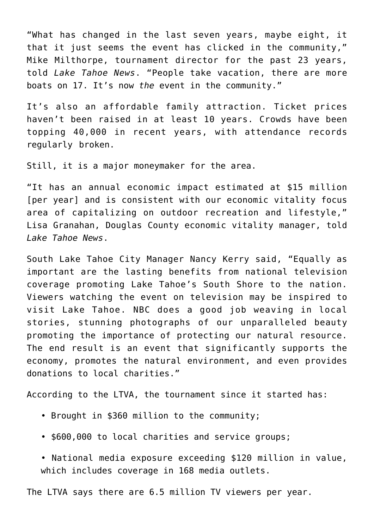"What has changed in the last seven years, maybe eight, it that it just seems the event has clicked in the community," Mike Milthorpe, tournament director for the past 23 years, told *Lake Tahoe News*. "People take vacation, there are more boats on 17. It's now *the* event in the community."

It's also an affordable family attraction. Ticket prices haven't been raised in at least 10 years. Crowds have been topping 40,000 in recent years, with attendance records regularly broken.

Still, it is a major moneymaker for the area.

"It has an annual economic impact estimated at \$15 million [per year] and is consistent with our economic vitality focus area of capitalizing on outdoor recreation and lifestyle," Lisa Granahan, Douglas County economic vitality manager, told *Lake Tahoe News*.

South Lake Tahoe City Manager Nancy Kerry said, "Equally as important are the lasting benefits from national television coverage promoting Lake Tahoe's South Shore to the nation. Viewers watching the event on television may be inspired to visit Lake Tahoe. NBC does a good job weaving in local stories, stunning photographs of our unparalleled beauty promoting the importance of protecting our natural resource. The end result is an event that significantly supports the economy, promotes the natural environment, and even provides donations to local charities."

According to the LTVA, the tournament since it started has:

- Brought in \$360 million to the community;
- \$600,000 to local charities and service groups;

• National media exposure exceeding \$120 million in value, which includes coverage in 168 media outlets.

The LTVA says there are 6.5 million TV viewers per year.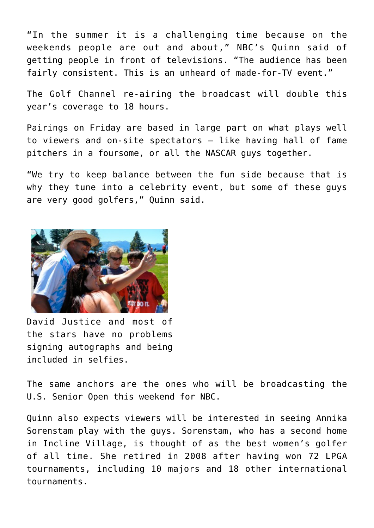"In the summer it is a challenging time because on the weekends people are out and about," NBC's Quinn said of getting people in front of televisions. "The audience has been fairly consistent. This is an unheard of made-for-TV event."

The Golf Channel re-airing the broadcast will double this year's coverage to 18 hours.

Pairings on Friday are based in large part on what plays well to viewers and on-site spectators – like having hall of fame pitchers in a foursome, or all the NASCAR guys together.

"We try to keep balance between the fun side because that is why they tune into a celebrity event, but some of these guys are very good golfers," Quinn said.



David Justice and most of the stars have no problems signing autographs and being included in selfies.

The same anchors are the ones who will be broadcasting the U.S. Senior Open this weekend for NBC.

Quinn also expects viewers will be interested in seeing Annika Sorenstam play with the guys. Sorenstam, who has a second home in Incline Village, is thought of as the best women's golfer of all time. She retired in 2008 after having won 72 LPGA tournaments, including 10 majors and 18 other international tournaments.